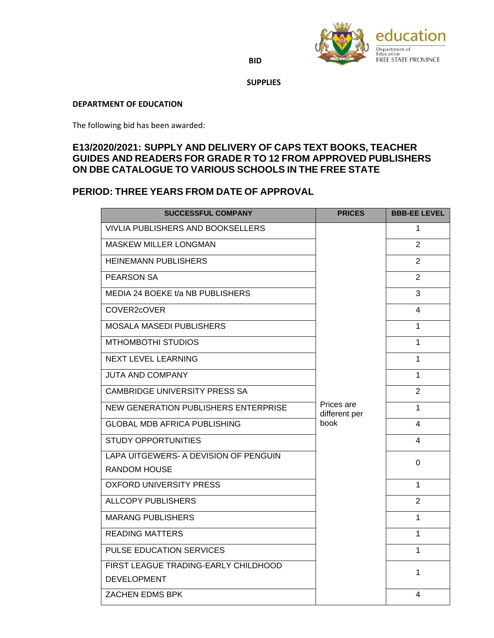

**BID** 

 **SUPPLIES**

## **DEPARTMENT OF EDUCATION**

The following bid has been awarded:

## **E13/2020/2021: SUPPLY AND DELIVERY OF CAPS TEXT BOOKS, TEACHER GUIDES AND READERS FOR GRADE R TO 12 FROM APPROVED PUBLISHERS ON DBE CATALOGUE TO VARIOUS SCHOOLS IN THE FREE STATE**

## **PERIOD: THREE YEARS FROM DATE OF APPROVAL**

| <b>SUCCESSFUL COMPANY</b>             | <b>PRICES</b>                       | <b>BBB-EE LEVEL</b> |
|---------------------------------------|-------------------------------------|---------------------|
| VIVLIA PUBLISHERS AND BOOKSELLERS     | Prices are<br>different per<br>book | 1                   |
| <b>MASKEW MILLER LONGMAN</b>          |                                     | $\overline{2}$      |
| <b>HEINEMANN PUBLISHERS</b>           |                                     | $\overline{2}$      |
| <b>PEARSON SA</b>                     |                                     | $\overline{2}$      |
| MEDIA 24 BOEKE t/a NB PUBLISHERS      |                                     | 3                   |
| COVER2cOVER                           |                                     | 4                   |
| <b>MOSALA MASEDI PUBLISHERS</b>       |                                     | 1                   |
| <b>MTHOMBOTHI STUDIOS</b>             |                                     | 1                   |
| <b>NEXT LEVEL LEARNING</b>            |                                     | 1                   |
| <b>JUTA AND COMPANY</b>               |                                     | 1                   |
| <b>CAMBRIDGE UNIVERSITY PRESS SA</b>  |                                     | $\overline{2}$      |
| NEW GENERATION PUBLISHERS ENTERPRISE  |                                     | 1                   |
| <b>GLOBAL MDB AFRICA PUBLISHING</b>   |                                     | 4                   |
| <b>STUDY OPPORTUNITIES</b>            |                                     | 4                   |
| LAPA UITGEWERS- A DEVISION OF PENGUIN |                                     | 0                   |
| <b>RANDOM HOUSE</b>                   |                                     |                     |
| <b>OXFORD UNIVERSITY PRESS</b>        |                                     | 1                   |
| <b>ALLCOPY PUBLISHERS</b>             |                                     | $\overline{2}$      |
| <b>MARANG PUBLISHERS</b>              |                                     | 1                   |
| <b>READING MATTERS</b>                |                                     | 1                   |
| PULSE EDUCATION SERVICES              |                                     | 1                   |
| FIRST LEAGUE TRADING-EARLY CHILDHOOD  |                                     | 1                   |
| <b>DEVELOPMENT</b>                    |                                     |                     |
| ZACHEN EDMS BPK                       |                                     | 4                   |